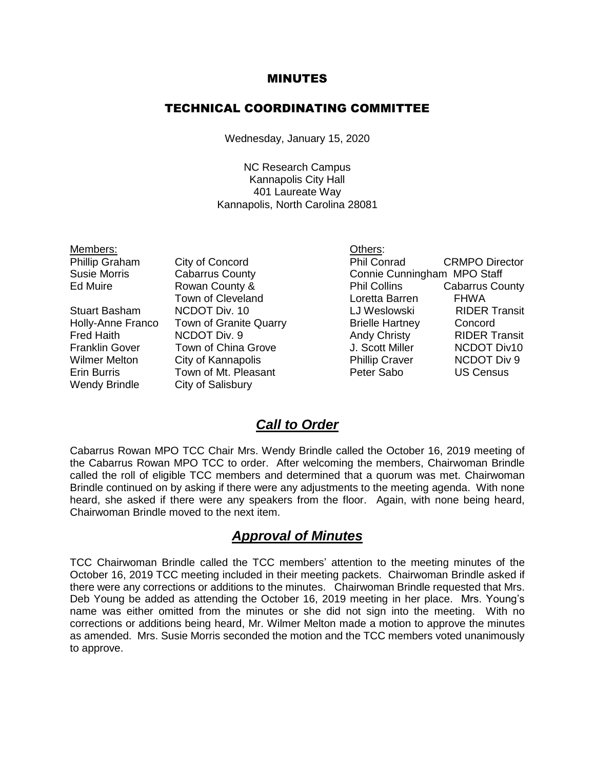#### MINUTES

#### TECHNICAL COORDINATING COMMITTEE

Wednesday, January 15, 2020

NC Research Campus Kannapolis City Hall 401 Laureate Way Kannapolis, North Carolina 28081

| Members:              |                               | Others:                |                             |  |
|-----------------------|-------------------------------|------------------------|-----------------------------|--|
| Phillip Graham        | City of Concord               | <b>Phil Conrad</b>     | <b>CRMPO Director</b>       |  |
| <b>Susie Morris</b>   | <b>Cabarrus County</b>        |                        | Connie Cunningham MPO Staff |  |
| Ed Muire              | Rowan County &                | <b>Phil Collins</b>    | <b>Cabarrus County</b>      |  |
|                       | Town of Cleveland             | Loretta Barren         | <b>FHWA</b>                 |  |
| <b>Stuart Basham</b>  | NCDOT Div. 10                 | LJ Weslowski           | <b>RIDER Transit</b>        |  |
| Holly-Anne Franco     | <b>Town of Granite Quarry</b> | <b>Brielle Hartney</b> | Concord                     |  |
| <b>Fred Haith</b>     | <b>NCDOT Div. 9</b>           | <b>Andy Christy</b>    | <b>RIDER Transit</b>        |  |
| <b>Franklin Gover</b> | Town of China Grove           | J. Scott Miller        | <b>NCDOT Div10</b>          |  |
| <b>Wilmer Melton</b>  | City of Kannapolis            | <b>Phillip Craver</b>  | <b>NCDOT Div 9</b>          |  |
| Erin Burris           | Town of Mt. Pleasant          | Peter Sabo             | <b>US Census</b>            |  |
| <b>Wendy Brindle</b>  | City of Salisbury             |                        |                             |  |

#### *Call to Order*

Cabarrus Rowan MPO TCC Chair Mrs. Wendy Brindle called the October 16, 2019 meeting of the Cabarrus Rowan MPO TCC to order. After welcoming the members, Chairwoman Brindle called the roll of eligible TCC members and determined that a quorum was met. Chairwoman Brindle continued on by asking if there were any adjustments to the meeting agenda. With none heard, she asked if there were any speakers from the floor. Again, with none being heard, Chairwoman Brindle moved to the next item.

#### *Approval of Minutes*

TCC Chairwoman Brindle called the TCC members' attention to the meeting minutes of the October 16, 2019 TCC meeting included in their meeting packets. Chairwoman Brindle asked if there were any corrections or additions to the minutes. Chairwoman Brindle requested that Mrs. Deb Young be added as attending the October 16, 2019 meeting in her place. Mrs. Young's name was either omitted from the minutes or she did not sign into the meeting. With no corrections or additions being heard, Mr. Wilmer Melton made a motion to approve the minutes as amended. Mrs. Susie Morris seconded the motion and the TCC members voted unanimously to approve.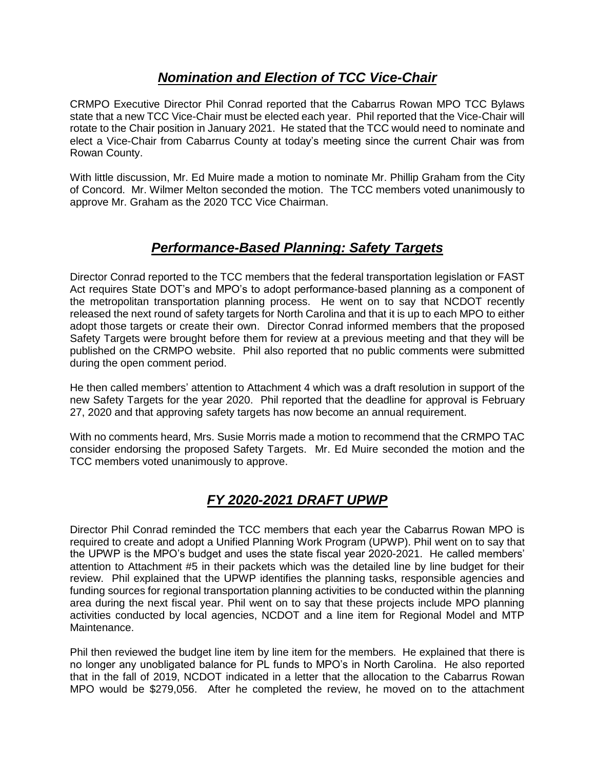### *Nomination and Election of TCC Vice-Chair*

CRMPO Executive Director Phil Conrad reported that the Cabarrus Rowan MPO TCC Bylaws state that a new TCC Vice-Chair must be elected each year. Phil reported that the Vice-Chair will rotate to the Chair position in January 2021. He stated that the TCC would need to nominate and elect a Vice-Chair from Cabarrus County at today's meeting since the current Chair was from Rowan County.

With little discussion, Mr. Ed Muire made a motion to nominate Mr. Phillip Graham from the City of Concord. Mr. Wilmer Melton seconded the motion. The TCC members voted unanimously to approve Mr. Graham as the 2020 TCC Vice Chairman.

### *Performance-Based Planning: Safety Targets*

Director Conrad reported to the TCC members that the federal transportation legislation or FAST Act requires State DOT's and MPO's to adopt performance-based planning as a component of the metropolitan transportation planning process. He went on to say that NCDOT recently released the next round of safety targets for North Carolina and that it is up to each MPO to either adopt those targets or create their own. Director Conrad informed members that the proposed Safety Targets were brought before them for review at a previous meeting and that they will be published on the CRMPO website. Phil also reported that no public comments were submitted during the open comment period.

He then called members' attention to Attachment 4 which was a draft resolution in support of the new Safety Targets for the year 2020. Phil reported that the deadline for approval is February 27, 2020 and that approving safety targets has now become an annual requirement.

With no comments heard, Mrs. Susie Morris made a motion to recommend that the CRMPO TAC consider endorsing the proposed Safety Targets. Mr. Ed Muire seconded the motion and the TCC members voted unanimously to approve.

# *FY 2020-2021 DRAFT UPWP*

Director Phil Conrad reminded the TCC members that each year the Cabarrus Rowan MPO is required to create and adopt a Unified Planning Work Program (UPWP). Phil went on to say that the UPWP is the MPO's budget and uses the state fiscal year 2020-2021. He called members' attention to Attachment #5 in their packets which was the detailed line by line budget for their review. Phil explained that the UPWP identifies the planning tasks, responsible agencies and funding sources for regional transportation planning activities to be conducted within the planning area during the next fiscal year. Phil went on to say that these projects include MPO planning activities conducted by local agencies, NCDOT and a line item for Regional Model and MTP Maintenance.

Phil then reviewed the budget line item by line item for the members. He explained that there is no longer any unobligated balance for PL funds to MPO's in North Carolina. He also reported that in the fall of 2019, NCDOT indicated in a letter that the allocation to the Cabarrus Rowan MPO would be \$279,056. After he completed the review, he moved on to the attachment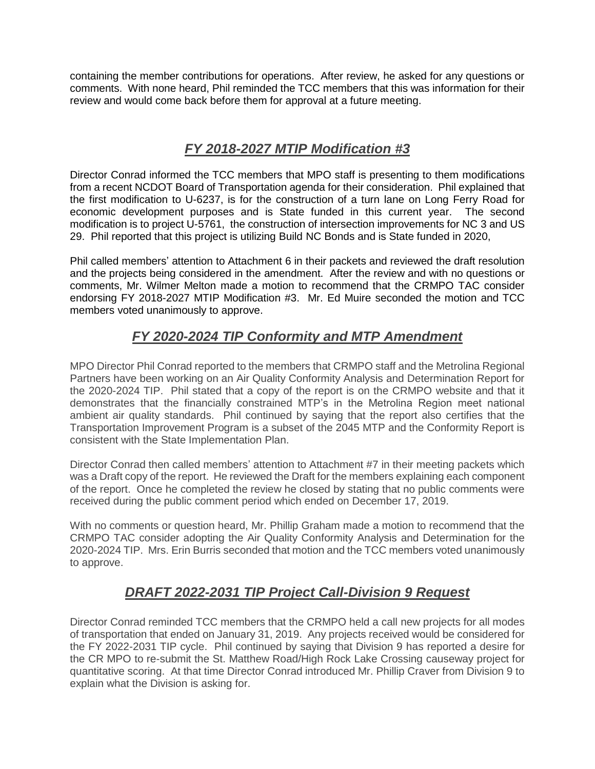containing the member contributions for operations. After review, he asked for any questions or comments. With none heard, Phil reminded the TCC members that this was information for their review and would come back before them for approval at a future meeting.

## *FY 2018-2027 MTIP Modification #3*

Director Conrad informed the TCC members that MPO staff is presenting to them modifications from a recent NCDOT Board of Transportation agenda for their consideration. Phil explained that the first modification to U-6237, is for the construction of a turn lane on Long Ferry Road for economic development purposes and is State funded in this current year. The second modification is to project U-5761, the construction of intersection improvements for NC 3 and US 29. Phil reported that this project is utilizing Build NC Bonds and is State funded in 2020,

Phil called members' attention to Attachment 6 in their packets and reviewed the draft resolution and the projects being considered in the amendment. After the review and with no questions or comments, Mr. Wilmer Melton made a motion to recommend that the CRMPO TAC consider endorsing FY 2018-2027 MTIP Modification #3. Mr. Ed Muire seconded the motion and TCC members voted unanimously to approve.

# *FY 2020-2024 TIP Conformity and MTP Amendment*

MPO Director Phil Conrad reported to the members that CRMPO staff and the Metrolina Regional Partners have been working on an Air Quality Conformity Analysis and Determination Report for the 2020-2024 TIP. Phil stated that a copy of the report is on the CRMPO website and that it demonstrates that the financially constrained MTP's in the Metrolina Region meet national ambient air quality standards. Phil continued by saying that the report also certifies that the Transportation Improvement Program is a subset of the 2045 MTP and the Conformity Report is consistent with the State Implementation Plan.

Director Conrad then called members' attention to Attachment #7 in their meeting packets which was a Draft copy of the report. He reviewed the Draft for the members explaining each component of the report. Once he completed the review he closed by stating that no public comments were received during the public comment period which ended on December 17, 2019.

With no comments or question heard, Mr. Phillip Graham made a motion to recommend that the CRMPO TAC consider adopting the Air Quality Conformity Analysis and Determination for the 2020-2024 TIP. Mrs. Erin Burris seconded that motion and the TCC members voted unanimously to approve.

# *DRAFT 2022-2031 TIP Project Call-Division 9 Request*

Director Conrad reminded TCC members that the CRMPO held a call new projects for all modes of transportation that ended on January 31, 2019. Any projects received would be considered for the FY 2022-2031 TIP cycle. Phil continued by saying that Division 9 has reported a desire for the CR MPO to re-submit the St. Matthew Road/High Rock Lake Crossing causeway project for quantitative scoring. At that time Director Conrad introduced Mr. Phillip Craver from Division 9 to explain what the Division is asking for.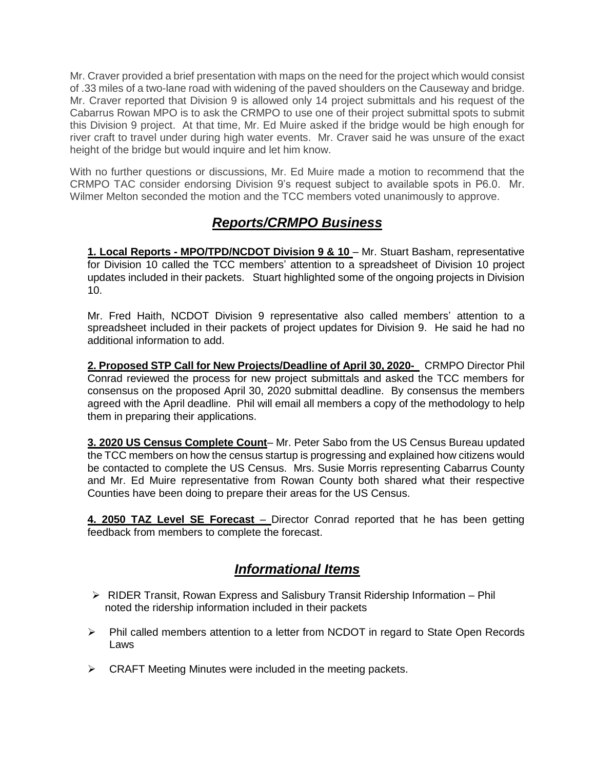Mr. Craver provided a brief presentation with maps on the need for the project which would consist of .33 miles of a two-lane road with widening of the paved shoulders on the Causeway and bridge. Mr. Craver reported that Division 9 is allowed only 14 project submittals and his request of the Cabarrus Rowan MPO is to ask the CRMPO to use one of their project submittal spots to submit this Division 9 project. At that time, Mr. Ed Muire asked if the bridge would be high enough for river craft to travel under during high water events. Mr. Craver said he was unsure of the exact height of the bridge but would inquire and let him know.

With no further questions or discussions, Mr. Ed Muire made a motion to recommend that the CRMPO TAC consider endorsing Division 9's request subject to available spots in P6.0. Mr. Wilmer Melton seconded the motion and the TCC members voted unanimously to approve.

# *Reports/CRMPO Business*

**1. Local Reports - MPO/TPD/NCDOT Division 9 & 10** – Mr. Stuart Basham, representative for Division 10 called the TCC members' attention to a spreadsheet of Division 10 project updates included in their packets. Stuart highlighted some of the ongoing projects in Division 10.

Mr. Fred Haith, NCDOT Division 9 representative also called members' attention to a spreadsheet included in their packets of project updates for Division 9. He said he had no additional information to add.

**2. Proposed STP Call for New Projects/Deadline of April 30, 2020-** CRMPO Director Phil Conrad reviewed the process for new project submittals and asked the TCC members for consensus on the proposed April 30, 2020 submittal deadline. By consensus the members agreed with the April deadline. Phil will email all members a copy of the methodology to help them in preparing their applications.

**3. 2020 US Census Complete Count**– Mr. Peter Sabo from the US Census Bureau updated the TCC members on how the census startup is progressing and explained how citizens would be contacted to complete the US Census. Mrs. Susie Morris representing Cabarrus County and Mr. Ed Muire representative from Rowan County both shared what their respective Counties have been doing to prepare their areas for the US Census.

**4. 2050 TAZ Level SE Forecast** – Director Conrad reported that he has been getting feedback from members to complete the forecast.

## *Informational Items*

- $\triangleright$  RIDER Transit, Rowan Express and Salisbury Transit Ridership Information Phil noted the ridership information included in their packets
- $\triangleright$  Phil called members attention to a letter from NCDOT in regard to State Open Records Laws
- $\triangleright$  CRAFT Meeting Minutes were included in the meeting packets.